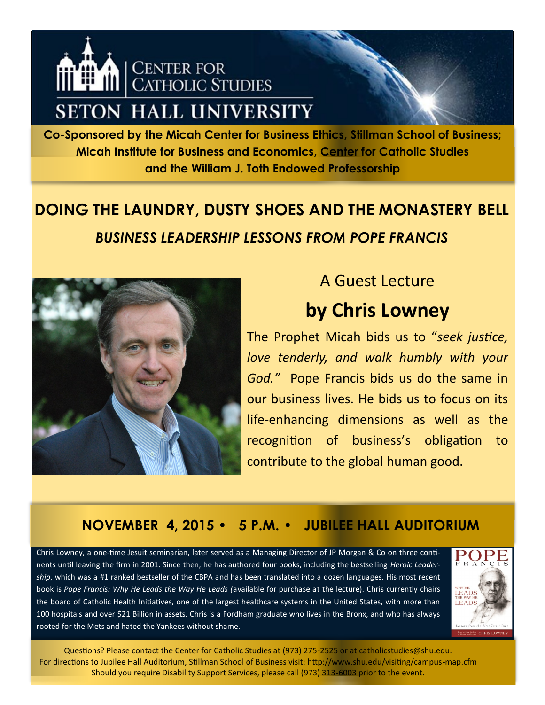

**Co-Sponsored by the Micah Center for Business Ethics, Stillman School of Business; Micah Institute for Business and Economics, Center for Catholic Studies and the William J. Toth Endowed Professorship**

# **DOING THE LAUNDRY, DUSTY SHOES AND THE MONASTERY BELL** *BUSINESS LEADERSHIP LESSONS FROM POPE FRANCIS*



## A Guest Lecture **by Chris Lowney**

The Prophet Micah bids us to "*seek justice, love tenderly, and walk humbly with your God."* Pope Francis bids us do the same in our business lives. He bids us to focus on its life-enhancing dimensions as well as the recognition of business's obligation to contribute to the global human good.

#### **NOVEMBER 4, 2015 • 5 P.M. • JUBILEE HALL AUDITORIUM**

Chris Lowney, a one-time Jesuit seminarian, later served as a Managing Director of JP Morgan & Co on three continents until leaving the firm in 2001. Since then, he has authored four books, including the bestselling *Heroic Leadership*, which was a #1 ranked bestseller of the CBPA and has been translated into a dozen languages. His most recent book is *Pope Francis: Why He Leads the Way He Leads (*available for purchase at the lecture). Chris currently chairs the board of Catholic Health Initiatives, one of the largest healthcare systems in the United States, with more than 100 hospitals and over \$21 Billion in assets. Chris is a Fordham graduate who lives in the Bronx, and who has always rooted for the Mets and hated the Yankees without shame.



Questions? Please contact the Center for Catholic Studies at (973) 275-2525 or at catholicstudies@shu.edu. For directions to Jubilee Hall Auditorium, Stillman School of Business visit: http://www.shu.edu/visiting/campus-map.cfm Should you require Disability Support Services, please call (973) 313-6003 prior to the event.